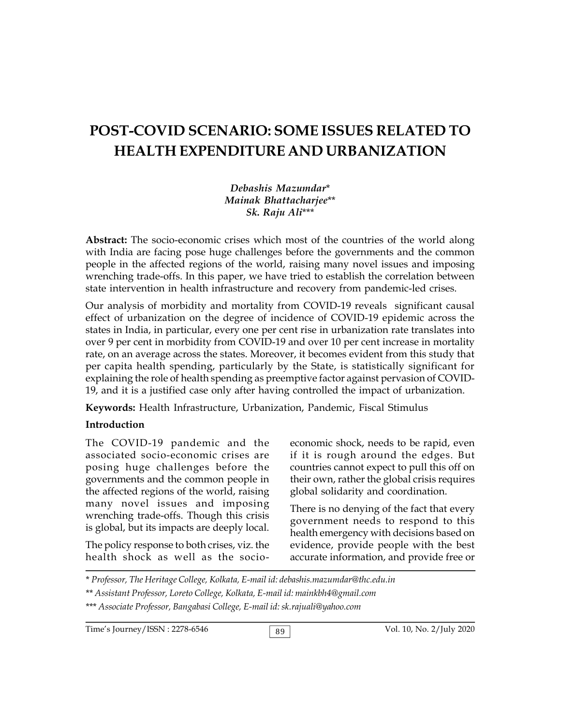# **POST-COVID SCENARIO: SOME ISSUES RELATED TO HEALTH EXPENDITURE AND URBANIZATION**

*Debashis Mazumdar*\* *Mainak Bhattacharjee*\*\* *Sk. Raju Ali*\*\*\*

**Abstract:** The socio-economic crises which most of the countries of the world along with India are facing pose huge challenges before the governments and the common people in the affected regions of the world, raising many novel issues and imposing wrenching trade-offs. In this paper, we have tried to establish the correlation between state intervention in health infrastructure and recovery from pandemic-led crises.

Our analysis of morbidity and mortality from COVID-19 reveals significant causal effect of urbanization on the degree of incidence of COVID-19 epidemic across the states in India, in particular, every one per cent rise in urbanization rate translates into over 9 per cent in morbidity from COVID-19 and over 10 per cent increase in mortality rate, on an average across the states. Moreover, it becomes evident from this study that per capita health spending, particularly by the State, is statistically significant for explaining the role of health spending as preemptive factor against pervasion of COVID-19, and it is a justified case only after having controlled the impact of urbanization.

**Keywords:** Health Infrastructure, Urbanization, Pandemic, Fiscal Stimulus

#### **Introduction**

The COVID-19 pandemic and the associated socio-economic crises are posing huge challenges before the governments and the common people in the affected regions of the world, raising many novel issues and imposing wrenching trade-offs. Though this crisis is global, but its impacts are deeply local.

The policy response to both crises, viz. the health shock as well as the socioeconomic shock, needs to be rapid, even if it is rough around the edges. But countries cannot expect to pull this off on their own, rather the global crisis requires global solidarity and coordination.

There is no denying of the fact that every government needs to respond to this health emergency with decisions based on evidence, provide people with the best accurate information, and provide free or

\* *Professor, The Heritage College, Kolkata, E-mail id: debashis.mazumdar@thc.edu.in*

Time's Journey/ISSN : 2278-6546 89 89 Vol. 10, No. 2/July 2020

<sup>\*\*</sup> *Assistant Professor, Loreto College, Kolkata, E-mail id: mainkbh4@gmail.com*

<sup>\*\*\*</sup> *Associate Professor, Bangabasi College, E-mail id: sk.rajuali@yahoo.com*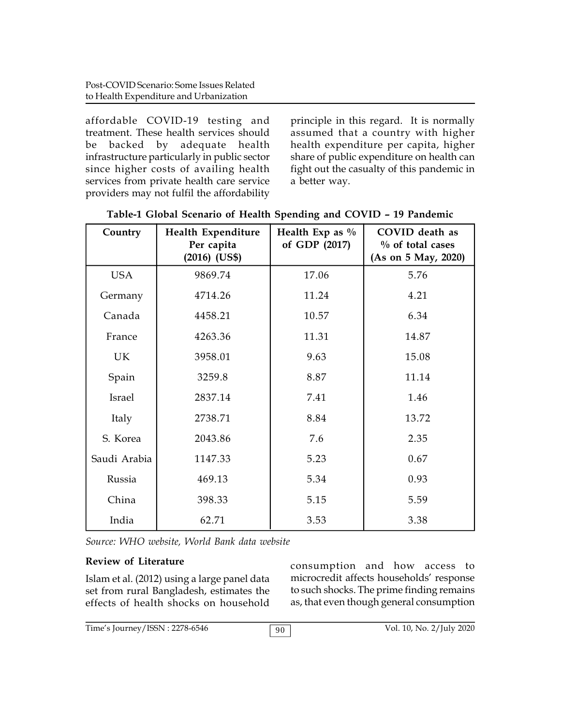affordable COVID-19 testing and treatment. These health services should be backed by adequate health infrastructure particularly in public sector since higher costs of availing health services from private health care service providers may not fulfil the affordability

principle in this regard. It is normally assumed that a country with higher health expenditure per capita, higher share of public expenditure on health can fight out the casualty of this pandemic in a better way.

| Country       | Health Expenditure<br>Per capita<br>$(2016)$ $(US$)$ | Health Exp as $\%$<br>of GDP (2017) | COVID death as<br>$\%$ of total cases<br>(As on 5 May, 2020) |
|---------------|------------------------------------------------------|-------------------------------------|--------------------------------------------------------------|
| <b>USA</b>    | 9869.74                                              | 17.06                               | 5.76                                                         |
| Germany       | 4714.26                                              | 11.24                               | 4.21                                                         |
| Canada        | 4458.21                                              | 10.57                               | 6.34                                                         |
| France        | 4263.36                                              | 11.31                               | 14.87                                                        |
| UK            | 3958.01                                              | 9.63                                | 15.08                                                        |
| Spain         | 3259.8                                               | 8.87                                | 11.14                                                        |
| <b>Israel</b> | 2837.14                                              | 7.41                                | 1.46                                                         |
| Italy         | 2738.71                                              | 8.84                                | 13.72                                                        |
| S. Korea      | 2043.86                                              | 7.6                                 | 2.35                                                         |
| Saudi Arabia  | 1147.33                                              | 5.23                                | 0.67                                                         |
| Russia        | 469.13                                               | 5.34                                | 0.93                                                         |
| China         | 398.33                                               | 5.15                                | 5.59                                                         |
| India         | 62.71                                                | 3.53                                | 3.38                                                         |

**Table-1 Global Scenario of Health Spending and COVID – 19 Pandemic**

*Source: WHO website, World Bank data website*

## **Review of Literature**

Islam et al. (2012) using a large panel data set from rural Bangladesh, estimates the effects of health shocks on household consumption and how access to microcredit affects households' response to such shocks. The prime finding remains as, that even though general consumption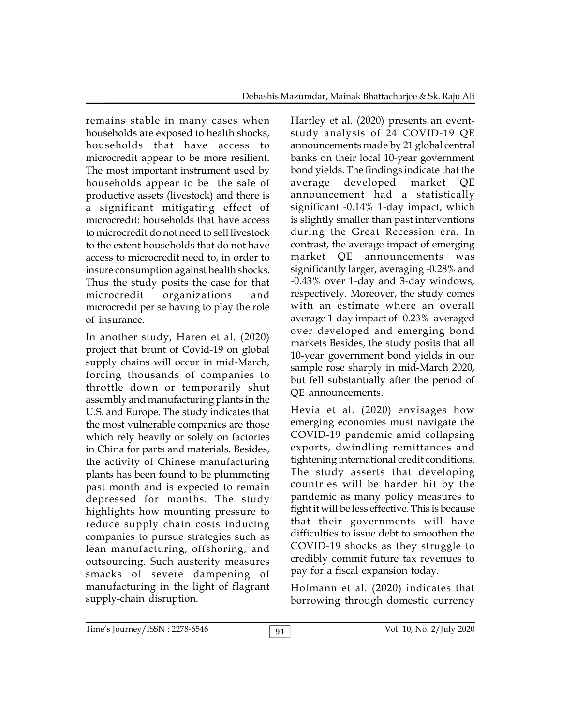remains stable in many cases when households are exposed to health shocks, households that have access to microcredit appear to be more resilient. The most important instrument used by households appear to be the sale of productive assets (livestock) and there is a significant mitigating effect of microcredit: households that have access to microcredit do not need to sell livestock to the extent households that do not have access to microcredit need to, in order to insure consumption against health shocks. Thus the study posits the case for that microcredit organizations and microcredit per se having to play the role of insurance.

In another study, Haren et al. (2020) project that brunt of Covid-19 on global supply chains will occur in mid-March, forcing thousands of companies to throttle down or temporarily shut assembly and manufacturing plants in the U.S. and Europe. The study indicates that the most vulnerable companies are those which rely heavily or solely on factories in China for parts and materials. Besides, the activity of Chinese manufacturing plants has been found to be plummeting past month and is expected to remain depressed for months. The study highlights how mounting pressure to reduce supply chain costs inducing companies to pursue strategies such as lean manufacturing, offshoring, and outsourcing. Such austerity measures smacks of severe dampening of manufacturing in the light of flagrant supply-chain disruption.

Hartley et al. (2020) presents an eventstudy analysis of 24 COVID-19 QE announcements made by 21 global central banks on their local 10-year government bond yields. The findings indicate that the developed market QE announcement had a statistically significant -0.14% 1-day impact, which is slightly smaller than past interventions during the Great Recession era. In contrast, the average impact of emerging market QE announcements was significantly larger, averaging -0.28% and -0.43% over 1-day and 3-day windows, respectively. Moreover, the study comes with an estimate where an overall average 1-day impact of -0.23% averaged over developed and emerging bond markets Besides, the study posits that all 10-year government bond yields in our sample rose sharply in mid-March 2020, but fell substantially after the period of QE announcements.

Hevia et al. (2020) envisages how emerging economies must navigate the COVID-19 pandemic amid collapsing exports, dwindling remittances and tightening international credit conditions. The study asserts that developing countries will be harder hit by the pandemic as many policy measures to fight it will be less effective. This is because that their governments will have difficulties to issue debt to smoothen the COVID-19 shocks as they struggle to credibly commit future tax revenues to pay for a fiscal expansion today.

Hofmann et al. (2020) indicates that borrowing through domestic currency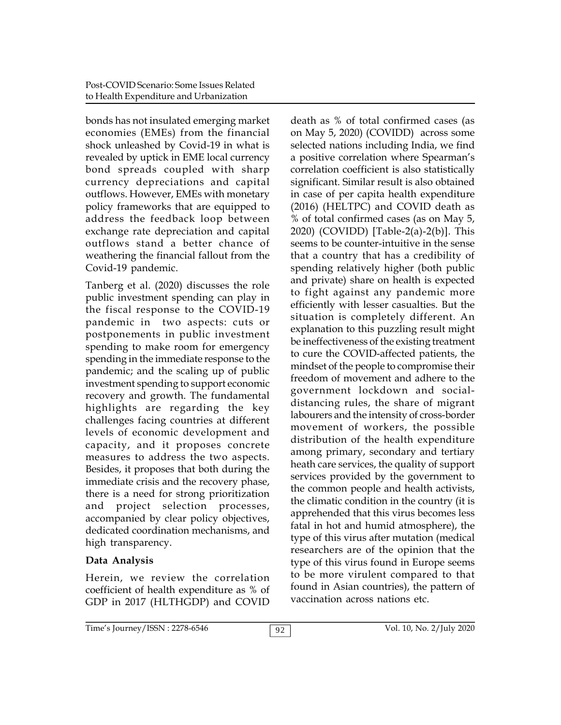bonds has not insulated emerging market economies (EMEs) from the financial shock unleashed by Covid-19 in what is revealed by uptick in EME local currency bond spreads coupled with sharp currency depreciations and capital outflows. However, EMEs with monetary policy frameworks that are equipped to address the feedback loop between exchange rate depreciation and capital outflows stand a better chance of weathering the financial fallout from the Covid-19 pandemic.

Tanberg et al. (2020) discusses the role public investment spending can play in the fiscal response to the COVID-19 pandemic in two aspects: cuts or postponements in public investment spending to make room for emergency spending in the immediate response to the pandemic; and the scaling up of public investment spending to support economic recovery and growth. The fundamental highlights are regarding the key challenges facing countries at different levels of economic development and capacity, and it proposes concrete measures to address the two aspects. Besides, it proposes that both during the immediate crisis and the recovery phase, there is a need for strong prioritization and project selection processes, accompanied by clear policy objectives, dedicated coordination mechanisms, and high transparency.

## **Data Analysis**

Herein, we review the correlation coefficient of health expenditure as % of GDP in 2017 (HLTHGDP) and COVID death as % of total confirmed cases (as on May 5, 2020) (COVIDD) across some selected nations including India, we find a positive correlation where Spearman's correlation coefficient is also statistically significant. Similar result is also obtained in case of per capita health expenditure (2016) (HELTPC) and COVID death as % of total confirmed cases (as on May 5, 2020) (COVIDD) [Table-2(a)-2(b)]. This seems to be counter-intuitive in the sense that a country that has a credibility of spending relatively higher (both public and private) share on health is expected to fight against any pandemic more efficiently with lesser casualties. But the situation is completely different. An explanation to this puzzling result might be ineffectiveness of the existing treatment to cure the COVID-affected patients, the mindset of the people to compromise their freedom of movement and adhere to the government lockdown and socialdistancing rules, the share of migrant labourers and the intensity of cross-border movement of workers, the possible distribution of the health expenditure among primary, secondary and tertiary heath care services, the quality of support services provided by the government to the common people and health activists, the climatic condition in the country (it is apprehended that this virus becomes less fatal in hot and humid atmosphere), the type of this virus after mutation (medical researchers are of the opinion that the type of this virus found in Europe seems to be more virulent compared to that found in Asian countries), the pattern of vaccination across nations etc.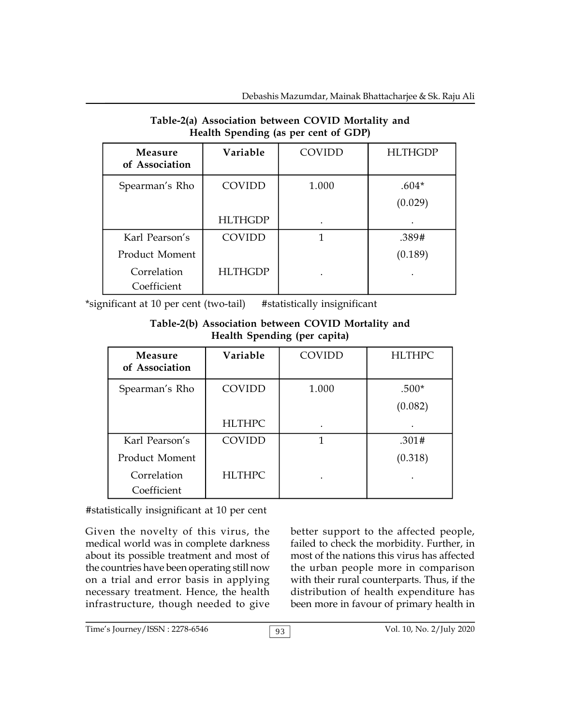| $\frac{1}{2}$                    |                |        |                    |  |
|----------------------------------|----------------|--------|--------------------|--|
| <b>Measure</b><br>of Association | Variable       | COVIDD | <b>HLTHGDP</b>     |  |
| Spearman's Rho                   | COVIDD         | 1.000  | $.604*$<br>(0.029) |  |
|                                  | <b>HLTHGDP</b> |        |                    |  |
| Karl Pearson's                   | COVIDD         |        | .389#              |  |
| Product Moment                   |                |        | (0.189)            |  |
| Correlation<br>Coefficient       | <b>HLTHGDP</b> |        |                    |  |

## **Table-2(a) Association between COVID Mortality and Health Spending (as per cent of GDP)**

\*significant at 10 per cent (two-tail) #statistically insignificant

### **Table-2(b) Association between COVID Mortality and Health Spending (per capita)**

| Measure<br>of Association | Variable      | COVIDD | <b>HLTHPC</b> |
|---------------------------|---------------|--------|---------------|
| Spearman's Rho            | COVIDD        | 1.000  | $.500*$       |
|                           |               |        | (0.082)       |
|                           | <b>HLTHPC</b> |        |               |
| Karl Pearson's            | COVIDD        | 1      | .301#         |
| Product Moment            |               |        | (0.318)       |
| Correlation               | <b>HLTHPC</b> |        |               |
| Coefficient               |               |        |               |

## #statistically insignificant at 10 per cent

Given the novelty of this virus, the medical world was in complete darkness about its possible treatment and most of the countries have been operating still now on a trial and error basis in applying necessary treatment. Hence, the health infrastructure, though needed to give

better support to the affected people, failed to check the morbidity. Further, in most of the nations this virus has affected the urban people more in comparison with their rural counterparts. Thus, if the distribution of health expenditure has been more in favour of primary health in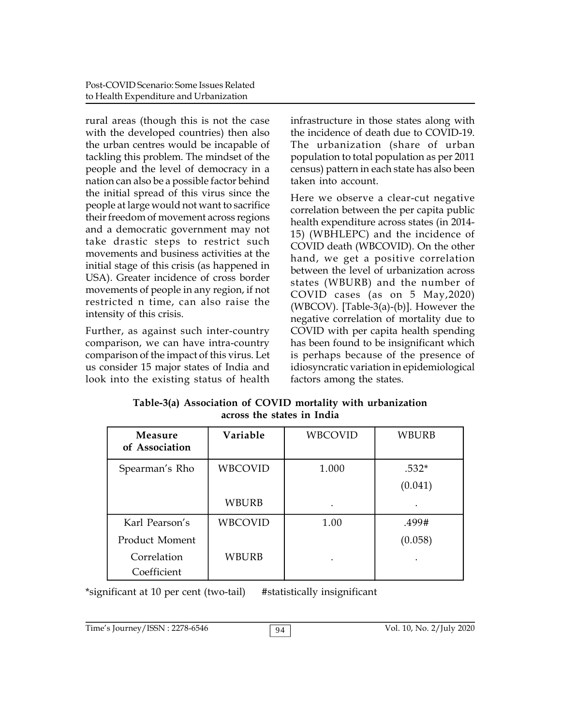rural areas (though this is not the case with the developed countries) then also the urban centres would be incapable of tackling this problem. The mindset of the people and the level of democracy in a nation can also be a possible factor behind the initial spread of this virus since the people at large would not want to sacrifice their freedom of movement across regions and a democratic government may not take drastic steps to restrict such movements and business activities at the initial stage of this crisis (as happened in USA). Greater incidence of cross border movements of people in any region, if not restricted n time, can also raise the intensity of this crisis.

Further, as against such inter-country comparison, we can have intra-country comparison of the impact of this virus. Let us consider 15 major states of India and look into the existing status of health

infrastructure in those states along with the incidence of death due to COVID-19. The urbanization (share of urban population to total population as per 2011 census) pattern in each state has also been taken into account.

Here we observe a clear-cut negative correlation between the per capita public health expenditure across states (in 2014- 15) (WBHLEPC) and the incidence of COVID death (WBCOVID). On the other hand, we get a positive correlation between the level of urbanization across states (WBURB) and the number of COVID cases (as on 5 May,2020) (WBCOV). [Table-3(a)-(b)]. However the negative correlation of mortality due to COVID with per capita health spending has been found to be insignificant which is perhaps because of the presence of idiosyncratic variation in epidemiological factors among the states.

| Table-3(a) Association of COVID mortality with urbanization |  |
|-------------------------------------------------------------|--|
| across the states in India                                  |  |

| Measure<br>of Association | Variable       | WBCOVID | WBURB   |
|---------------------------|----------------|---------|---------|
| Spearman's Rho            | <b>WBCOVID</b> | 1.000   | $.532*$ |
|                           |                |         | (0.041) |
|                           | <b>WBURB</b>   |         |         |
| Karl Pearson's            | <b>WBCOVID</b> | 1.00    | .499#   |
| Product Moment            |                |         | (0.058) |
| Correlation               | WBURB          |         |         |
| Coefficient               |                |         |         |

\*significant at 10 per cent (two-tail) #statistically insignificant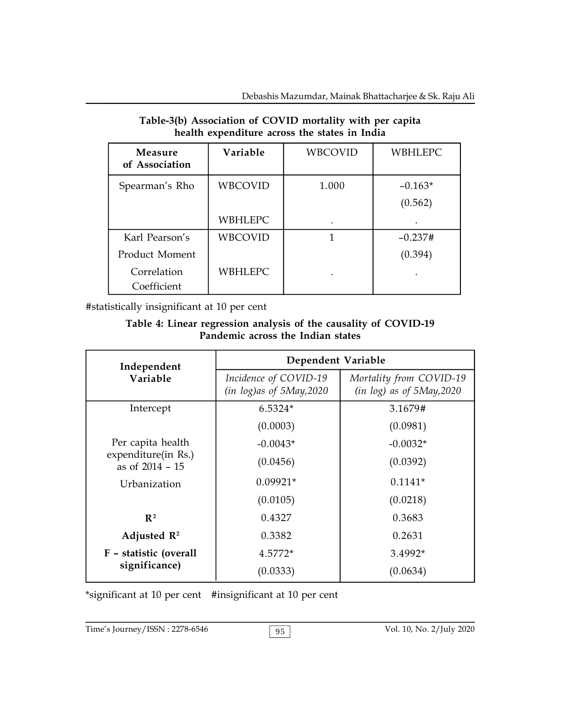| Measure<br>of Association | Variable       | <b>WBCOVID</b> | <b>WBHLEPC</b> |  |
|---------------------------|----------------|----------------|----------------|--|
| Spearman's Rho            | <b>WBCOVID</b> | 1.000          | $-0.163*$      |  |
|                           |                |                | (0.562)        |  |
|                           | <b>WBHLEPC</b> | $\bullet$      |                |  |
| Karl Pearson's            | <b>WBCOVID</b> | 1              | $-0.237#$      |  |
| Product Moment            |                |                | (0.394)        |  |
| Correlation               | <b>WBHLEPC</b> | $\bullet$      |                |  |
| Coefficient               |                |                |                |  |

### **Table-3(b) Association of COVID mortality with per capita health expenditure across the states in India**

#statistically insignificant at 10 per cent

#### **Table 4: Linear regression analysis of the causality of COVID-19 Pandemic across the Indian states**

| Independent                            | Dependent Variable                                   |                                                        |  |
|----------------------------------------|------------------------------------------------------|--------------------------------------------------------|--|
| Variable                               | Incidence of COVID-19<br>$(in log)$ as of 5May, 2020 | Mortality from COVID-19<br>$(in log)$ as of 5May, 2020 |  |
| Intercept                              | $6.5324*$                                            | 3.1679#                                                |  |
|                                        | (0.0003)                                             | (0.0981)                                               |  |
| Per capita health                      | $-0.0043*$                                           | $-0.0032*$                                             |  |
| expenditure(in Rs.)<br>as of 2014 - 15 | (0.0456)                                             | (0.0392)                                               |  |
| Urbanization                           | $0.09921*$                                           | $0.1141*$                                              |  |
|                                        | (0.0105)                                             | (0.0218)                                               |  |
| $\mathbb{R}^2$                         | 0.4327                                               | 0.3683                                                 |  |
| Adjusted $\mathbb{R}^2$                | 0.3382                                               | 0.2631                                                 |  |
| F - statistic (overall                 | 4.5772*                                              | 3.4992*                                                |  |
| significance)                          | (0.0333)                                             | (0.0634)                                               |  |

\*significant at 10 per cent #insignificant at 10 per cent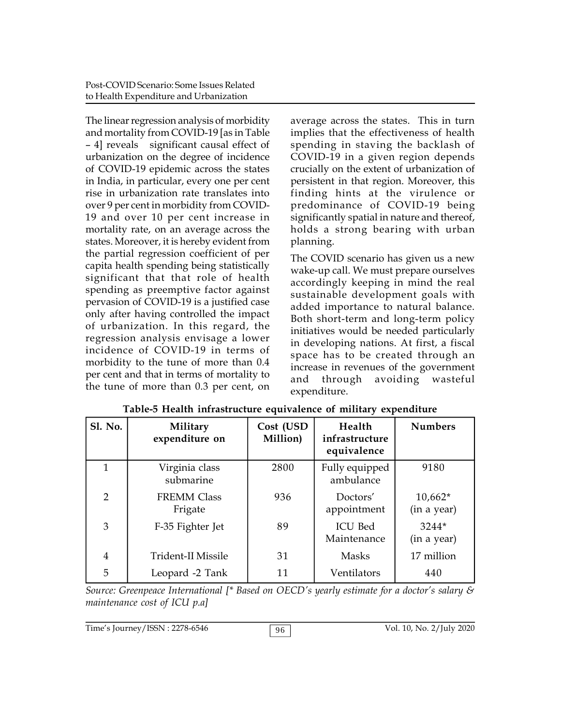The linear regression analysis of morbidity and mortality from COVID-19 [as in Table – 4] reveals significant causal effect of urbanization on the degree of incidence of COVID-19 epidemic across the states in India, in particular, every one per cent rise in urbanization rate translates into over 9 per cent in morbidity from COVID-19 and over 10 per cent increase in mortality rate, on an average across the states. Moreover, it is hereby evident from the partial regression coefficient of per capita health spending being statistically significant that that role of health spending as preemptive factor against pervasion of COVID-19 is a justified case only after having controlled the impact of urbanization. In this regard, the regression analysis envisage a lower incidence of COVID-19 in terms of morbidity to the tune of more than 0.4 per cent and that in terms of mortality to the tune of more than 0.3 per cent, on

average across the states. This in turn implies that the effectiveness of health spending in staving the backlash of COVID-19 in a given region depends crucially on the extent of urbanization of persistent in that region. Moreover, this finding hints at the virulence or predominance of COVID-19 being significantly spatial in nature and thereof, holds a strong bearing with urban planning.

The COVID scenario has given us a new wake-up call. We must prepare ourselves accordingly keeping in mind the real sustainable development goals with added importance to natural balance. Both short-term and long-term policy initiatives would be needed particularly in developing nations. At first, a fiscal space has to be created through an increase in revenues of the government and through avoiding wasteful expenditure.

| <b>Sl. No.</b> | Military<br>expenditure on    | Cost (USD<br>Million) | Health<br>infrastructure<br>equivalence | <b>Numbers</b>           |
|----------------|-------------------------------|-----------------------|-----------------------------------------|--------------------------|
| 1              | Virginia class<br>submarine   | 2800                  | Fully equipped<br>ambulance             | 9180                     |
| $\overline{2}$ | <b>FREMM Class</b><br>Frigate | 936                   | Doctors'<br>appointment                 | $10,662*$<br>(in a year) |
| 3              | F-35 Fighter Jet              | 89                    | <b>ICU Bed</b><br>Maintenance           | 3244*<br>(in a year)     |
| 4              | <b>Trident-II Missile</b>     | 31                    | Masks                                   | 17 million               |
| 5              | Leopard -2 Tank               | 11                    | Ventilators                             | 440                      |

| Table-5 Health infrastructure equivalence of military expenditure |  |  |  |  |
|-------------------------------------------------------------------|--|--|--|--|
|-------------------------------------------------------------------|--|--|--|--|

*Source: Greenpeace International [\* Based on OECD's yearly estimate for a doctor's salary & maintenance cost of ICU p.a]*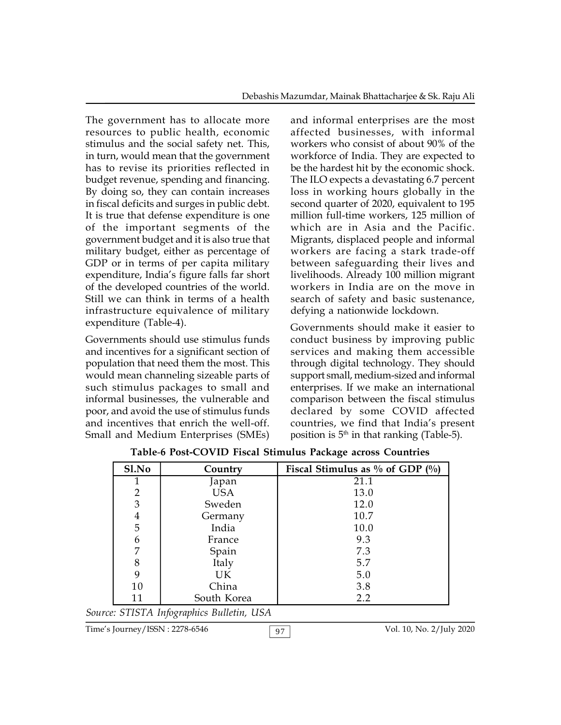The government has to allocate more resources to public health, economic stimulus and the social safety net. This, in turn, would mean that the government has to revise its priorities reflected in budget revenue, spending and financing. By doing so, they can contain increases in fiscal deficits and surges in public debt. It is true that defense expenditure is one of the important segments of the government budget and it is also true that military budget, either as percentage of GDP or in terms of per capita military expenditure, India's figure falls far short of the developed countries of the world. Still we can think in terms of a health infrastructure equivalence of military expenditure (Table-4).

Governments should use stimulus funds and incentives for a significant section of population that need them the most. This would mean channeling sizeable parts of such stimulus packages to small and informal businesses, the vulnerable and poor, and avoid the use of stimulus funds and incentives that enrich the well-off. Small and Medium Enterprises (SMEs) and informal enterprises are the most affected businesses, with informal workers who consist of about 90% of the workforce of India. They are expected to be the hardest hit by the economic shock. The ILO expects a devastating 6.7 percent loss in working hours globally in the second quarter of 2020, equivalent to 195 million full-time workers, 125 million of which are in Asia and the Pacific. Migrants, displaced people and informal workers are facing a stark trade-off between safeguarding their lives and livelihoods. Already 100 million migrant workers in India are on the move in search of safety and basic sustenance, defying a nationwide lockdown.

Governments should make it easier to conduct business by improving public services and making them accessible through digital technology. They should support small, medium-sized and informal enterprises. If we make an international comparison between the fiscal stimulus declared by some COVID affected countries, we find that India's present position is  $5<sup>th</sup>$  in that ranking (Table-5).

| Sl.No          | Country                                   | Fiscal Stimulus as $\%$ of GDP $(\%)$ |
|----------------|-------------------------------------------|---------------------------------------|
|                | Japan                                     | 21.1                                  |
| $\overline{2}$ | USA                                       | 13.0                                  |
| 3              | Sweden                                    | 12.0                                  |
| 4              | Germany                                   | 10.7                                  |
| 5              | India                                     | 10.0                                  |
| 6              | France                                    | 9.3                                   |
| 7              | Spain                                     | 7.3                                   |
| 8              | Italy                                     | 5.7                                   |
| 9              | UK.                                       | 5.0                                   |
| 10             | China                                     | 3.8                                   |
| 11             | South Korea                               | 2.2                                   |
|                | Source: STISTA Infographics Bulletin, USA |                                       |

**Table**-**6 Post-COVID Fiscal Stimulus Package across Countries**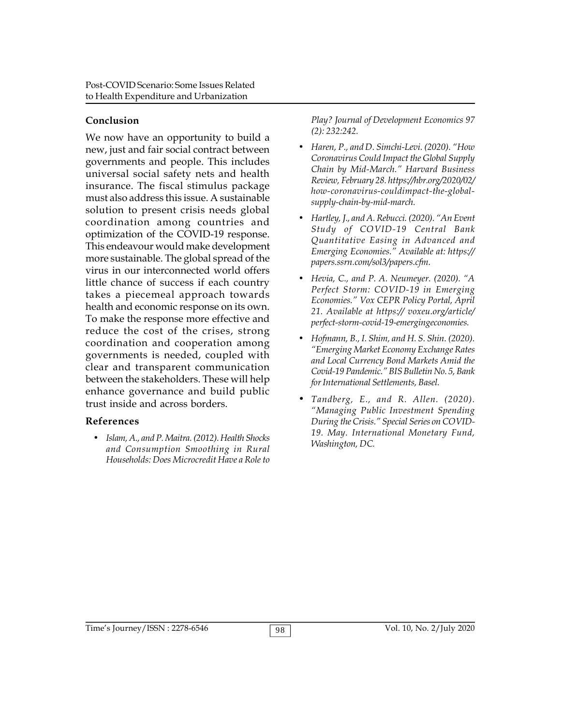## **Conclusion**

We now have an opportunity to build a new, just and fair social contract between governments and people. This includes universal social safety nets and health insurance. The fiscal stimulus package must also address this issue. A sustainable solution to present crisis needs global coordination among countries and optimization of the COVID-19 response. This endeavour would make development more sustainable. The global spread of the virus in our interconnected world offers little chance of success if each country takes a piecemeal approach towards health and economic response on its own. To make the response more effective and reduce the cost of the crises, strong coordination and cooperation among governments is needed, coupled with clear and transparent communication between the stakeholders. These will help enhance governance and build public trust inside and across borders.

## **References**

 *Islam, A., and P. Maitra. (2012). Health Shocks and Consumption Smoothing in Rural Households: Does Microcredit Have a Role to*

*Play? Journal of Development Economics 97 (2): 232:242.*

- *Haren, P., and D. Simchi-Levi. (2020). "How Coronavirus Could Impact the Global Supply Chain by Mid-March." Harvard Business Review, February 28. https://hbr.org/2020/02/ how-coronavirus-couldimpact-the-globalsupply-chain-by-mid-march.*
- *Hartley, J., and A. Rebucci. (2020). "An Event Study of COVID-19 Central Bank Quantitative Easing in Advanced and Emerging Economies." Available at: https:// papers.ssrn.com/sol3/papers.cfm.*
- *Hevia, C., and P. A. Neumeyer. (2020). "A Perfect Storm: COVID-19 in Emerging Economies." Vox CEPR Policy Portal, April 21. Available at https:// voxeu.org/article/ perfect-storm-covid-19-emergingeconomies.*
- *Hofmann, B., I. Shim, and H. S. Shin. (2020). "Emerging Market Economy Exchange Rates and Local Currency Bond Markets Amid the Covid-19 Pandemic." BIS Bulletin No. 5, Bank for International Settlements, Basel.*
- *Tandberg, E., and R. Allen. (2020). "Managing Public Investment Spending During the Crisis." Special Series on COVID-19. May. International Monetary Fund, Washington, DC.*